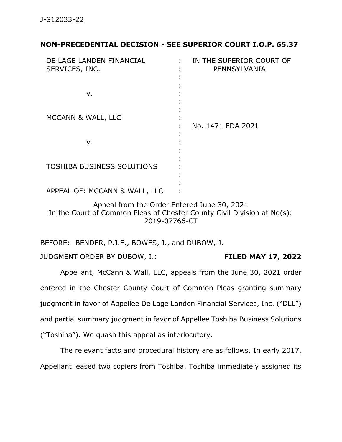## **NON-PRECEDENTIAL DECISION - SEE SUPERIOR COURT I.O.P. 65.37**

| DE LAGE LANDEN FINANCIAL<br>SERVICES, INC. | IN THE SUPERIOR COURT OF<br>PENNSYLVANIA |
|--------------------------------------------|------------------------------------------|
| ν.                                         |                                          |
| MCCANN & WALL, LLC                         | No. 1471 EDA 2021                        |
| ν.                                         |                                          |
| <b>TOSHIBA BUSINESS SOLUTIONS</b>          |                                          |
| APPEAL OF: MCCANN & WALL, LLC              |                                          |

Appeal from the Order Entered June 30, 2021 In the Court of Common Pleas of Chester County Civil Division at No(s): 2019-07766-CT

BEFORE: BENDER, P.J.E., BOWES, J., and DUBOW, J.

JUDGMENT ORDER BY DUBOW, J.: **FILED MAY 17, 2022**

Appellant, McCann & Wall, LLC, appeals from the June 30, 2021 order entered in the Chester County Court of Common Pleas granting summary judgment in favor of Appellee De Lage Landen Financial Services, Inc. ("DLL") and partial summary judgment in favor of Appellee Toshiba Business Solutions ("Toshiba"). We quash this appeal as interlocutory.

The relevant facts and procedural history are as follows. In early 2017, Appellant leased two copiers from Toshiba. Toshiba immediately assigned its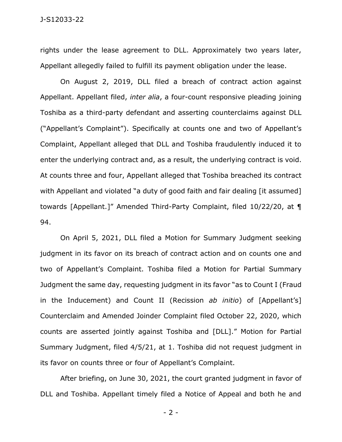rights under the lease agreement to DLL. Approximately two years later, Appellant allegedly failed to fulfill its payment obligation under the lease.

On August 2, 2019, DLL filed a breach of contract action against Appellant. Appellant filed, *inter alia*, a four-count responsive pleading joining Toshiba as a third-party defendant and asserting counterclaims against DLL ("Appellant's Complaint"). Specifically at counts one and two of Appellant's Complaint, Appellant alleged that DLL and Toshiba fraudulently induced it to enter the underlying contract and, as a result, the underlying contract is void. At counts three and four, Appellant alleged that Toshiba breached its contract with Appellant and violated "a duty of good faith and fair dealing [it assumed] towards [Appellant.]" Amended Third-Party Complaint, filed 10/22/20, at ¶ 94.

On April 5, 2021, DLL filed a Motion for Summary Judgment seeking judgment in its favor on its breach of contract action and on counts one and two of Appellant's Complaint. Toshiba filed a Motion for Partial Summary Judgment the same day, requesting judgment in its favor "as to Count I (Fraud in the Inducement) and Count II (Recission *ab initio*) of [Appellant's] Counterclaim and Amended Joinder Complaint filed October 22, 2020, which counts are asserted jointly against Toshiba and [DLL]." Motion for Partial Summary Judgment, filed 4/5/21, at 1. Toshiba did not request judgment in its favor on counts three or four of Appellant's Complaint.

After briefing, on June 30, 2021, the court granted judgment in favor of DLL and Toshiba. Appellant timely filed a Notice of Appeal and both he and

- 2 -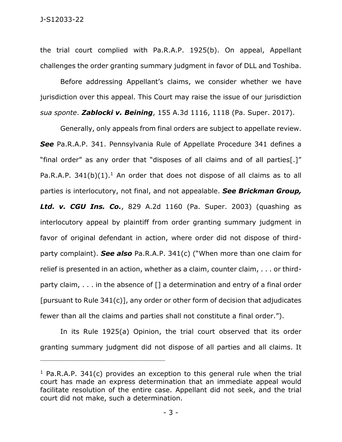the trial court complied with Pa.R.A.P. 1925(b). On appeal, Appellant challenges the order granting summary judgment in favor of DLL and Toshiba.

Before addressing Appellant's claims, we consider whether we have jurisdiction over this appeal. This Court may raise the issue of our jurisdiction *sua sponte*. *Zablocki v. Beining*, 155 A.3d 1116, 1118 (Pa. Super. 2017).

Generally, only appeals from final orders are subject to appellate review. *See* Pa.R.A.P. 341. Pennsylvania Rule of Appellate Procedure 341 defines a "final order" as any order that "disposes of all claims and of all parties[.]" Pa.R.A.P.  $341(b)(1)$ .<sup>1</sup> An order that does not dispose of all claims as to all parties is interlocutory, not final, and not appealable. *See Brickman Group, Ltd. v. CGU Ins. Co.*, 829 A.2d 1160 (Pa. Super. 2003) (quashing as interlocutory appeal by plaintiff from order granting summary judgment in favor of original defendant in action, where order did not dispose of thirdparty complaint). *See also* Pa.R.A.P. 341(c) ("When more than one claim for relief is presented in an action, whether as a claim, counter claim, . . . or thirdparty claim,  $\ldots$  in the absence of  $\lceil \cdot \rceil$  a determination and entry of a final order [pursuant to Rule 341(c)], any order or other form of decision that adjudicates fewer than all the claims and parties shall not constitute a final order.").

In its Rule 1925(a) Opinion, the trial court observed that its order granting summary judgment did not dispose of all parties and all claims. It

\_\_\_\_\_\_\_\_\_\_\_\_\_\_\_\_\_\_\_\_\_\_\_\_\_\_\_\_\_\_\_\_\_\_\_\_\_\_\_\_\_\_\_\_

<sup>&</sup>lt;sup>1</sup> Pa.R.A.P. 341(c) provides an exception to this general rule when the trial court has made an express determination that an immediate appeal would facilitate resolution of the entire case. Appellant did not seek, and the trial court did not make, such a determination.